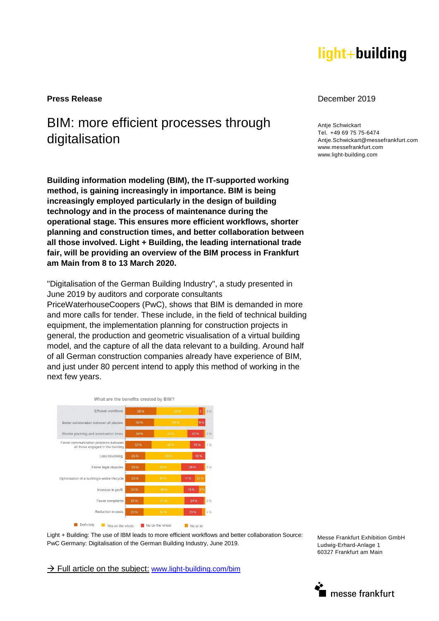# light+building

## BIM: more efficient processes through digitalisation

**Building information modeling (BIM), the IT-supported working method, is gaining increasingly in importance. BIM is being increasingly employed particularly in the design of building technology and in the process of maintenance during the operational stage. This ensures more efficient workflows, shorter planning and construction times, and better collaboration between all those involved. Light + Building, the leading international trade fair, will be providing an overview of the BIM process in Frankfurt am Main from 8 to 13 March 2020.** 

"Digitalisation of the German Building Industry", a study presented in June 2019 by auditors and corporate consultants

PriceWaterhouseCoopers (PwC), shows that BIM is demanded in more and more calls for tender. These include, in the field of technical building equipment, the implementation planning for construction projects in general, the production and geometric visualisation of a virtual building model, and the capture of all the data relevant to a building. Around half of all German construction companies already have experience of BIM, and just under 80 percent intend to apply this method of working in the next few years.



Light + Building: The use of IBM leads to more efficient workflows and better collaboration Source: PwC Germany: Digitalisation of the German Building Industry, June 2019.

 $\rightarrow$  Full article on the subject: [www.light-building.com/bim](http://www.light-building.com/bim)

#### **Press Release** December 2019

**Antie Schwickart** Tel. +49 69 75 75-6474 Antje.Schwickart@messefrankfurt.com www.messefrankfurt.com www.light-building.com

Messe Frankfurt Exhibition GmbH Ludwig-Erhard-Anlage 1 60327 Frankfurt am Main

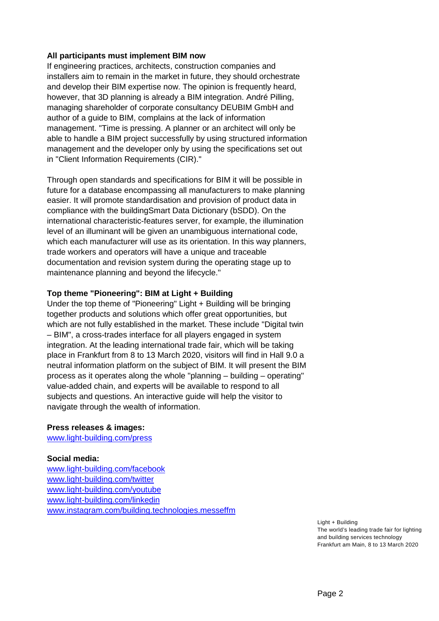### **All participants must implement BIM now**

If engineering practices, architects, construction companies and installers aim to remain in the market in future, they should orchestrate and develop their BIM expertise now. The opinion is frequently heard, however, that 3D planning is already a BIM integration. André Pilling, managing shareholder of corporate consultancy DEUBIM GmbH and author of a guide to BIM, complains at the lack of information management. "Time is pressing. A planner or an architect will only be able to handle a BIM project successfully by using structured information management and the developer only by using the specifications set out in "Client Information Requirements (CIR)."

Through open standards and specifications for BIM it will be possible in future for a database encompassing all manufacturers to make planning easier. It will promote standardisation and provision of product data in compliance with the buildingSmart Data Dictionary (bSDD). On the international characteristic-features server, for example, the illumination level of an illuminant will be given an unambiguous international code, which each manufacturer will use as its orientation. In this way planners, trade workers and operators will have a unique and traceable documentation and revision system during the operating stage up to maintenance planning and beyond the lifecycle."

## **Top theme "Pioneering": BIM at Light + Building**

Under the top theme of "Pioneering" Light + Building will be bringing together products and solutions which offer great opportunities, but which are not fully established in the market. These include "Digital twin – BIM", a cross-trades interface for all players engaged in system integration. At the leading international trade fair, which will be taking place in Frankfurt from 8 to 13 March 2020, visitors will find in Hall 9.0 a neutral information platform on the subject of BIM. It will present the BIM process as it operates along the whole "planning – building – operating" value-added chain, and experts will be available to respond to all subjects and questions. An interactive guide will help the visitor to navigate through the wealth of information.

#### **Press releases & images:**

[www.light-building.com/press](http://www.light-building.com/presse)

#### **Social media:**

[www.light-building.com/facebook](http://www.light-building.com/facebook) [www.light-building.com/twitter](http://www.light-building.com/twitter) [www.light-building.com/youtube](http://www.light-building.com/youtube) [www.light-building.com/linkedin](http://www.light-building.com/linkedin)  [www.instagram.com/building.technologies.messeffm](http://www.instagram.com/building.technologies.messeffm)

> Light + Building The world's leading trade fair for lighting and building services technology Frankfurt am Main, 8 to 13 March 2020